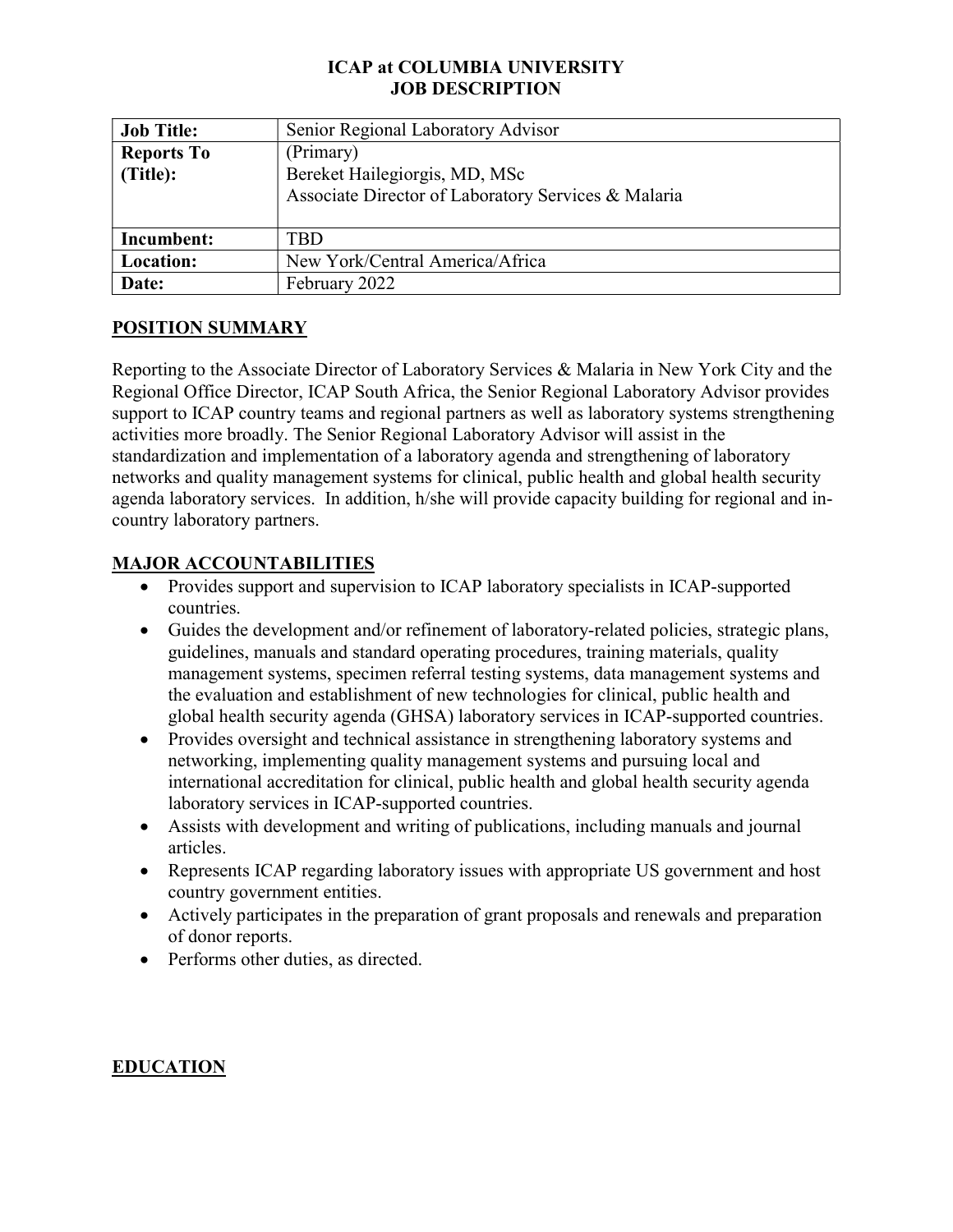### ICAP at COLUMBIA UNIVERSITY JOB DESCRIPTION

| <b>Job Title:</b> | Senior Regional Laboratory Advisor                  |
|-------------------|-----------------------------------------------------|
| <b>Reports To</b> | (Primary)                                           |
| (Title):          | Bereket Hailegiorgis, MD, MSc                       |
|                   | Associate Director of Laboratory Services & Malaria |
|                   |                                                     |
| Incumbent:        | <b>TBD</b>                                          |
| Location:         | New York/Central America/Africa                     |
| Date:             | February 2022                                       |

### POSITION SUMMARY

Reporting to the Associate Director of Laboratory Services & Malaria in New York City and the Regional Office Director, ICAP South Africa, the Senior Regional Laboratory Advisor provides support to ICAP country teams and regional partners as well as laboratory systems strengthening activities more broadly. The Senior Regional Laboratory Advisor will assist in the standardization and implementation of a laboratory agenda and strengthening of laboratory networks and quality management systems for clinical, public health and global health security agenda laboratory services. In addition, h/she will provide capacity building for regional and incountry laboratory partners.

#### MAJOR ACCOUNTABILITIES

- Provides support and supervision to ICAP laboratory specialists in ICAP-supported countries.
- Guides the development and/or refinement of laboratory-related policies, strategic plans, guidelines, manuals and standard operating procedures, training materials, quality management systems, specimen referral testing systems, data management systems and the evaluation and establishment of new technologies for clinical, public health and global health security agenda (GHSA) laboratory services in ICAP-supported countries.
- Provides oversight and technical assistance in strengthening laboratory systems and networking, implementing quality management systems and pursuing local and international accreditation for clinical, public health and global health security agenda laboratory services in ICAP-supported countries.
- Assists with development and writing of publications, including manuals and journal articles.
- Represents ICAP regarding laboratory issues with appropriate US government and host country government entities.
- Actively participates in the preparation of grant proposals and renewals and preparation of donor reports.
- Performs other duties, as directed.

### EDUCATION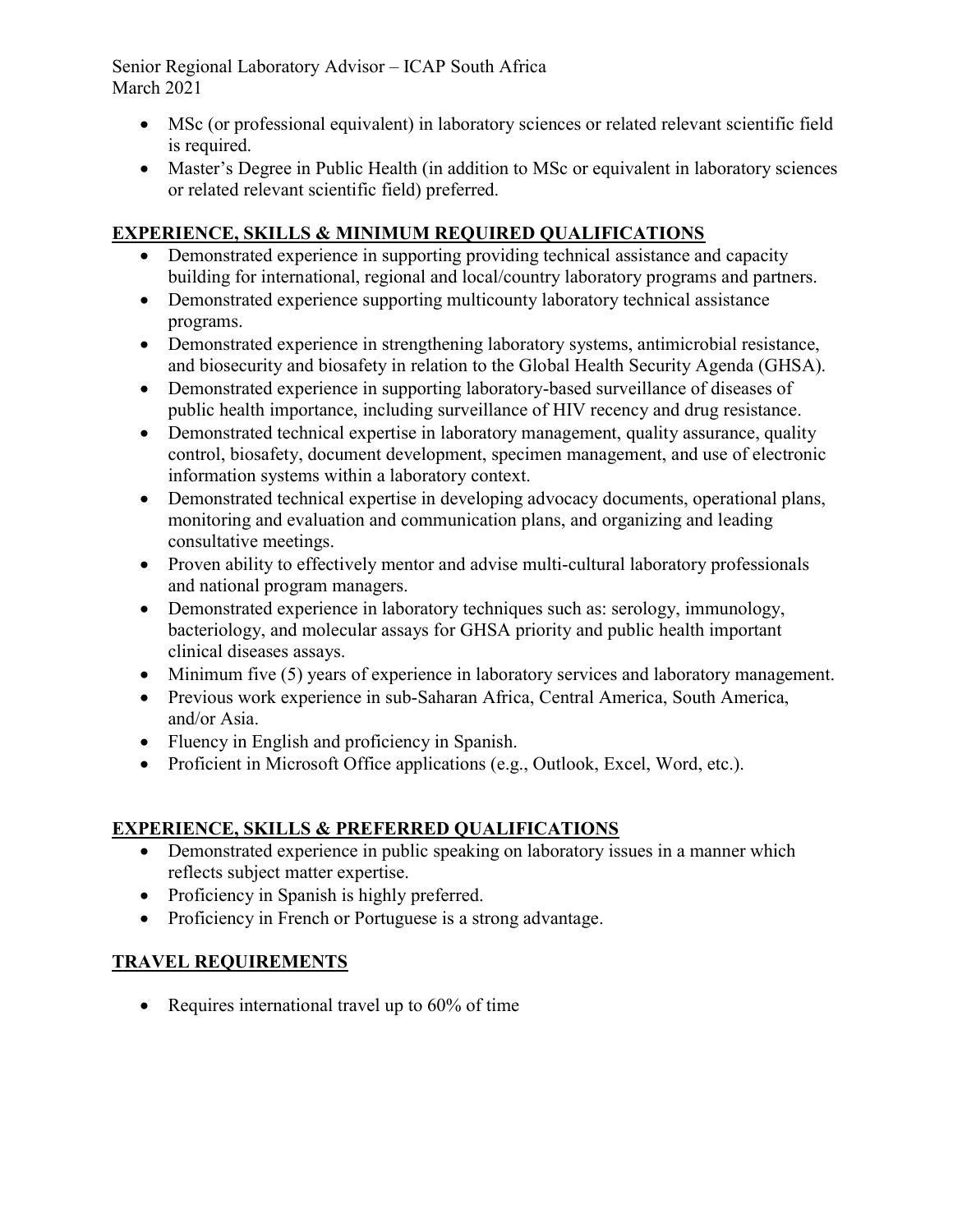Senior Regional Laboratory Advisor – ICAP South Africa March 2021

- MSc (or professional equivalent) in laboratory sciences or related relevant scientific field is required.
- Master's Degree in Public Health (in addition to MSc or equivalent in laboratory sciences or related relevant scientific field) preferred.

# EXPERIENCE, SKILLS & MINIMUM REQUIRED QUALIFICATIONS

- Demonstrated experience in supporting providing technical assistance and capacity building for international, regional and local/country laboratory programs and partners.
- Demonstrated experience supporting multicounty laboratory technical assistance programs.
- Demonstrated experience in strengthening laboratory systems, antimicrobial resistance, and biosecurity and biosafety in relation to the Global Health Security Agenda (GHSA).
- Demonstrated experience in supporting laboratory-based surveillance of diseases of public health importance, including surveillance of HIV recency and drug resistance.
- Demonstrated technical expertise in laboratory management, quality assurance, quality control, biosafety, document development, specimen management, and use of electronic information systems within a laboratory context.
- Demonstrated technical expertise in developing advocacy documents, operational plans, monitoring and evaluation and communication plans, and organizing and leading consultative meetings.
- Proven ability to effectively mentor and advise multi-cultural laboratory professionals and national program managers.
- Demonstrated experience in laboratory techniques such as: serology, immunology, bacteriology, and molecular assays for GHSA priority and public health important clinical diseases assays.
- Minimum five (5) years of experience in laboratory services and laboratory management.
- Previous work experience in sub-Saharan Africa, Central America, South America, and/or Asia.
- Fluency in English and proficiency in Spanish.
- Proficient in Microsoft Office applications (e.g., Outlook, Excel, Word, etc.).

# EXPERIENCE, SKILLS & PREFERRED QUALIFICATIONS

- Demonstrated experience in public speaking on laboratory issues in a manner which reflects subject matter expertise.
- Proficiency in Spanish is highly preferred.
- Proficiency in French or Portuguese is a strong advantage.

# TRAVEL REQUIREMENTS

• Requires international travel up to 60% of time